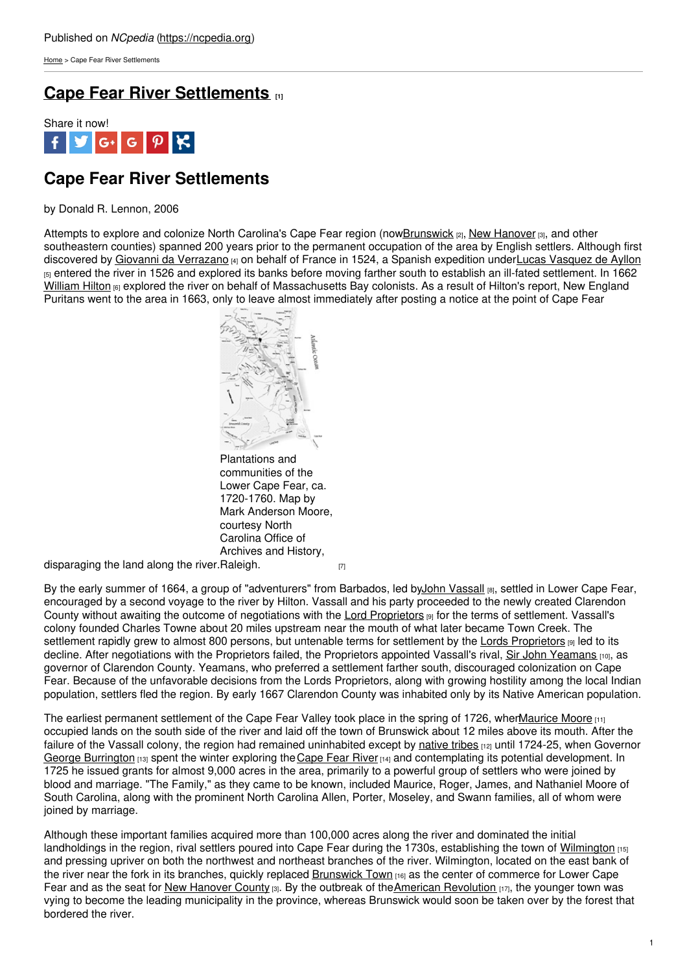[Home](https://ncpedia.org/) > Cape Fear River Settlements

## **Cape Fear River [Settlements](https://ncpedia.org/cape-fear-river-settlements) [1]**



# **Cape Fear River Settlements**

### by Donald R. Lennon, 2006

Attempts to explore and colonize North Carolina's Cape Fear region (now **Brunswick** [2], New [Hanover](https://ncpedia.org/geography/new-hanover) [3], and other southeastern counties) spanned 200 years prior to the permanent occupation of the area by English settlers. Although first discovered by Giovanni da [Verrazano](http://www.italianhistorical.org/page50.html) [4] on behalf of France in 1524, a Spanish expedition underLucas [Vasquez](http://www.britannica.com/EBchecked/topic/46506/Lucas-Vazquez-de-Ayllon) de Ayllon  $_{5}$  entered the river in 1526 and explored its banks before moving farther south to establish an ill-fated settlement. In 1662 [William](https://www.ncpedia.org/biography/hilton-william) Hilton [6] explored the river on behalf of Massachusetts Bay colonists. As a result of Hilton's report, New England Puritans went to the area in 1663, only to leave [almost](http://www.social9.com) immediately after posting a notice at the point of Cape Fear



Plantations and communities of the Lower Cape Fear, ca. 1720-1760. Map by Mark Anderson Moore, courtesy North Carolina Office of Archives and History,

disparaging the land along the river. [Raleigh.](https://ncpedia.org/sites/default/files/images/enc/map06_lg.png) [7]

By the early summer of 1664, a group of "adventurers" from Barbados, led byJohn [Vassall](https://ncpedia.org/biography/vassall-john) [8], settled in Lower Cape Fear, encouraged by a second voyage to the river by Hilton. Vassall and his party proceeded to the newly created Clarendon County without awaiting the outcome of negotiations with the Lord [Proprietors](https://ncpedia.org/lords-proprietors) [9] for the terms of settlement. Vassall's colony founded Charles Towne about 20 miles upstream near the mouth of what later became Town Creek. The settlement rapidly grew to almost 800 persons, but untenable terms for settlement by the Lords [Proprietors](https://ncpedia.org/lords-proprietors) [9] led to its decline. After negotiations with the Proprietors failed, the Proprietors appointed Vassall's rival, Sir John [Yeamans](https://ncpedia.org/biography/yeamans-sir-john) [10], as governor of Clarendon County. Yeamans, who preferred a settlement farther south, discouraged colonization on Cape Fear. Because of the unfavorable decisions from the Lords Proprietors, along with growing hostility among the local Indian population, settlers fled the region. By early 1667 Clarendon County was inhabited only by its Native American population.

The earliest permanent settlement of the Cape Fear Valley took place in the spring of 1726, when Maurice Moore [11] occupied lands on the south side of the river and laid off the town of Brunswick about 12 miles above its mouth. After the failure of the Vassall colony, the region had remained uninhabited except by [native](https://ncpedia.org/history/early/native-settlement) tribes <sub>[12]</sub> until 1724-25, when Governor George [Burrington](https://ncpedia.org/biography/burrington-george)  $1131$  spent the winter exploring the Cape Fear River  $141$  and contemplating its potential development. In 1725 he issued grants for almost 9,000 acres in the area, primarily to a powerful group of settlers who were joined by blood and marriage. "The Family," as they came to be known, included Maurice, Roger, James, and Nathaniel Moore of South Carolina, along with the prominent North Carolina Allen, Porter, Moseley, and Swann families, all of whom were joined by marriage.

Although these important families acquired more than 100,000 acres along the river and dominated the initial landholdings in the region, rival settlers poured into Cape Fear during the 1730s, establishing the town of [Wilmington](https://ncpedia.org/geography/wilmington) [15] and pressing upriver on both the northwest and northeast branches of the river. Wilmington, located on the east bank of the river near the fork in its branches, quickly replaced [Brunswick](https://ncpedia.org/brunswick-town) Town [16] as the center of commerce for Lower Cape Fear and as the seat for New [Hanover](https://ncpedia.org/geography/new-hanover) County  $\alpha_1$ . By the outbreak of the American [Revolution](https://ncpedia.org/american-revolution)  $\alpha_1$ , the younger town was vying to become the leading municipality in the province, whereas Brunswick would soon be taken over by the forest that bordered the river.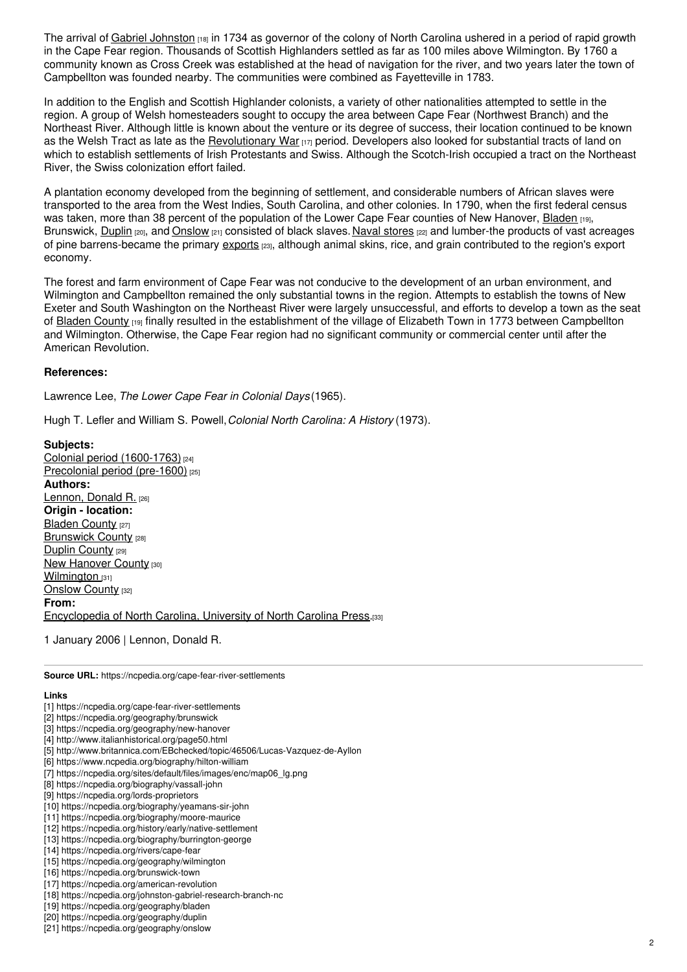The arrival of Gabriel [Johnston](https://ncpedia.org/johnston-gabriel-research-branch-nc) [18] in 1734 as governor of the colony of North Carolina ushered in a period of rapid growth in the Cape Fear region. Thousands of Scottish Highlanders settled as far as 100 miles above Wilmington. By 1760 a community known as Cross Creek was established at the head of navigation for the river, and two years later the town of Campbellton was founded nearby. The communities were combined as Fayetteville in 1783.

In addition to the English and Scottish Highlander colonists, a variety of other nationalities attempted to settle in the region. A group of Welsh homesteaders sought to occupy the area between Cape Fear (Northwest Branch) and the Northeast River. Although little is known about the venture or its degree of success, their location continued to be known as the Welsh Tract as late as the **[Revolutionary](https://ncpedia.org/american-revolution) War**  $[17]$  period. Developers also looked for substantial tracts of land on which to establish settlements of Irish Protestants and Swiss. Although the Scotch-Irish occupied a tract on the Northeast River, the Swiss colonization effort failed.

A plantation economy developed from the beginning of settlement, and considerable numbers of African slaves were transported to the area from the West Indies, South Carolina, and other colonies. In 1790, when the first federal census was taken, more than 38 percent of the population of the Lower Cape Fear counties of New Hanover, [Bladen](https://ncpedia.org/geography/bladen) [19], Brunswick, [Duplin](https://ncpedia.org/geography/duplin) [20], and [Onslow](https://ncpedia.org/geography/onslow) [21] consisted of black slaves. Naval [stores](https://ncpedia.org/naval-stores) [22] and lumber-the products of vast acreages of pine barrens-became the primary [exports](https://ncpedia.org/exports) [23], although animal skins, rice, and grain contributed to the region's export economy.

The forest and farm environment of Cape Fear was not conducive to the development of an urban environment, and Wilmington and Campbellton remained the only substantial towns in the region. Attempts to establish the towns of New Exeter and South Washington on the Northeast River were largely unsuccessful, and efforts to develop a town as the seat of Bladen [County](https://ncpedia.org/geography/bladen) [19] finally resulted in the establishment of the village of Elizabeth Town in 1773 between Campbellton and Wilmington. Otherwise, the Cape Fear region had no significant community or commercial center until after the American Revolution.

#### **References:**

Lawrence Lee, *The Lower Cape Fear in Colonial Days* (1965).

Hugh T. Lefler and William S. Powell,*Colonial North Carolina: A History* (1973).

**Subjects:** Colonial period [\(1600-1763\)](https://ncpedia.org/category/subjects/colonial-period) [24] [Precolonial](https://ncpedia.org/category/subjects/prehistory) period (pre-1600) [25] **Authors:** [Lennon,](https://ncpedia.org/category/authors/lennon-donald-r) Donald R. [26] **Origin - location: [Bladen](https://ncpedia.org/category/origin-location/coastal--5) County [27] [Brunswick](https://ncpedia.org/category/origin-location/brunswick-) County [28]** Duplin [County](https://ncpedia.org/category/origin-location/coastal--9) [29] New [Hanover](https://ncpedia.org/category/origin-location/coastal--7) County [30] [Wilmington](https://ncpedia.org/category/origin-location/coastal-39) [31] [Onslow](https://ncpedia.org/category/origin-location/coastal-10) County [32] **From:** [Encyclopedia](https://ncpedia.org/category/entry-source/encyclopedia-) of North Carolina, University of North Carolina Press.[33]

1 January 2006 | Lennon, Donald R.

**Source URL:** https://ncpedia.org/cape-fear-river-settlements

#### **Links**

- [1] https://ncpedia.org/cape-fear-river-settlements
- [2] https://ncpedia.org/geography/brunswick
- [3] https://ncpedia.org/geography/new-hanover
- [4] http://www.italianhistorical.org/page50.html
- [5] http://www.britannica.com/EBchecked/topic/46506/Lucas-Vazquez-de-Ayllon
- [6] https://www.ncpedia.org/biography/hilton-william
- [7] https://ncpedia.org/sites/default/files/images/enc/map06\_lg.png
- [8] https://ncpedia.org/biography/vassall-john
- [9] https://ncpedia.org/lords-proprietors [10] https://ncpedia.org/biography/yeamans-sir-john
- [11] https://ncpedia.org/biography/moore-maurice
- [12] https://ncpedia.org/history/early/native-settlement
- [13] https://ncpedia.org/biography/burrington-george
- [14] https://ncpedia.org/rivers/cape-fear
- [15] https://ncpedia.org/geography/wilmington
- [16] https://ncpedia.org/brunswick-town
- [17] https://ncpedia.org/american-revolution
- [18] https://ncpedia.org/johnston-gabriel-research-branch-nc
- [19] https://ncpedia.org/geography/bladen
- [20] https://ncpedia.org/geography/duplin
- [21] https://ncpedia.org/geography/onslow